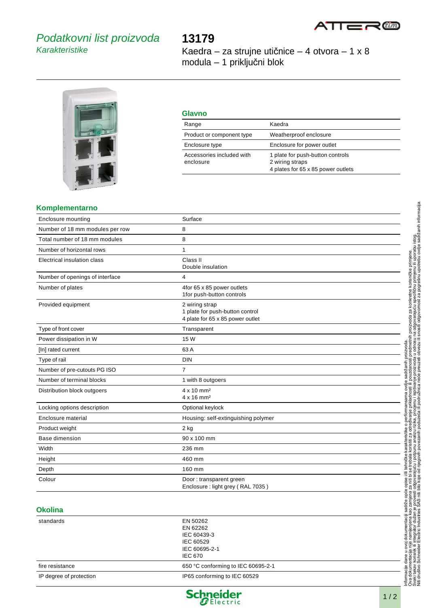

# Podatkovni list proizvoda **Karakteristike**

# **13179**

Kaedra – za strujne utičnice – 4 otvora – 1 x 8 modula – 1 priključni blok



| <b>Glavno</b>                          |                                                                                           |
|----------------------------------------|-------------------------------------------------------------------------------------------|
| Range                                  | Kaedra                                                                                    |
| Product or component type              | Weatherproof enclosure                                                                    |
| Enclosure type                         | Enclosure for power outlet                                                                |
| Accessories included with<br>enclosure | 1 plate for push-button controls<br>2 wiring straps<br>4 plates for 65 x 85 power outlets |

#### **Komplementarno**

| <b>Enclosure mounting</b>       | Surface                                                                               |
|---------------------------------|---------------------------------------------------------------------------------------|
| Number of 18 mm modules per row | 8                                                                                     |
| Total number of 18 mm modules   | 8                                                                                     |
| Number of horizontal rows       | $\mathbf{1}$                                                                          |
| Electrical insulation class     | Class II<br>Double insulation                                                         |
| Number of openings of interface | 4                                                                                     |
| Number of plates                | 4for 65 x 85 power outlets<br>1for push-button controls                               |
| Provided equipment              | 2 wiring strap<br>1 plate for push-button control<br>4 plate for 65 x 85 power outlet |
| Type of front cover             | Transparent                                                                           |
| Power dissipation in W          | 15 W                                                                                  |
| [In] rated current              | 63 A                                                                                  |
| Type of rail                    | <b>DIN</b>                                                                            |
| Number of pre-cutouts PG ISO    | $\overline{7}$                                                                        |
| Number of terminal blocks       | 1 with 8 outgoers                                                                     |
| Distribution block outgoers     | $4 \times 10$ mm <sup>2</sup><br>$4 \times 16$ mm <sup>2</sup>                        |
| Locking options description     | Optional keylock                                                                      |
| Enclosure material              | Housing: self-extinguishing polymer                                                   |
| Product weight                  | 2 kg                                                                                  |
| <b>Base dimension</b>           | 90 x 100 mm                                                                           |
| Width                           | 236 mm                                                                                |
| Height                          | 460 mm                                                                                |
| Depth                           | 160 mm                                                                                |
| Colour                          | Door: transparent green<br>Enclosure: light grey (RAL 7035)                           |

## **Okolina**

| EN 50262                           |          |
|------------------------------------|----------|
|                                    |          |
| IEC 60439-3                        |          |
| IEC 60529                          |          |
| IEC 60695-2-1                      |          |
| <b>IEC 670</b>                     |          |
| 650 °C conforming to IEC 60695-2-1 |          |
| IP65 conforming to IEC 60529       |          |
|                                    | EN 62262 |